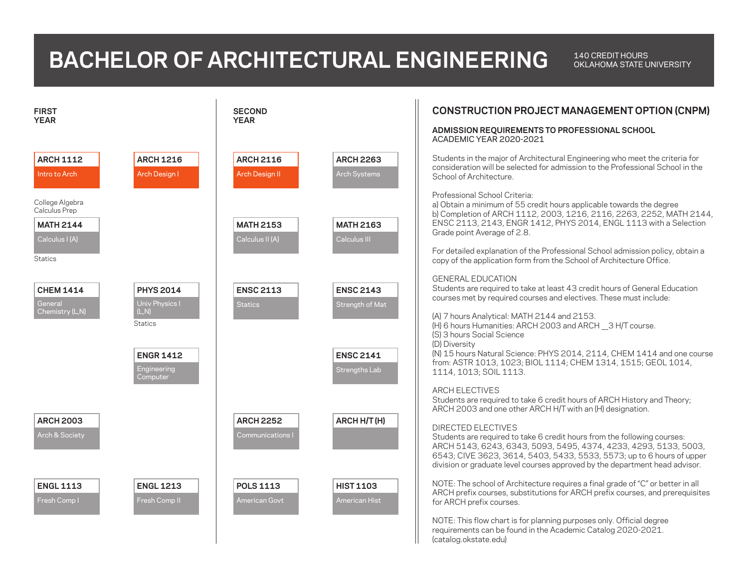## **BACHELOR OF ARCHITECTURAL ENGINEERING 140 CREDIT HOURS**

OKLAHOMA STATE UNIVERSITY